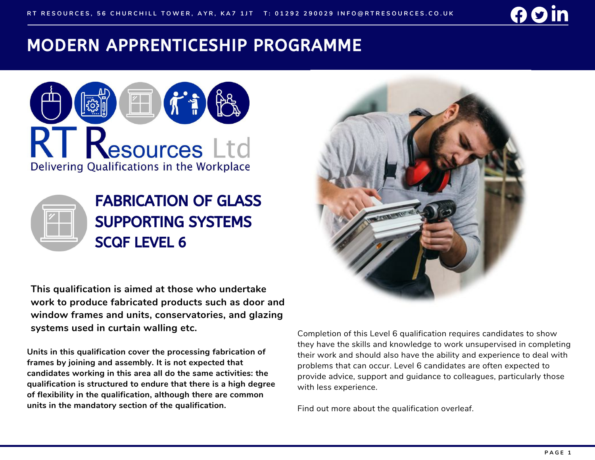# MODERN APPRENTICESHIP PROGRAMME





**This qualification is aimed at those who undertake work to produce fabricated products such as door and window frames and units, conservatories, and glazing systems used in curtain walling etc.**

**Units in this qualification cover the processing fabrication of frames by joining and assembly. It is not expected that candidates working in this area all do the same activities: the qualification is structured to endure that there is a high degree of flexibility in the qualification, although there are common units in the mandatory section of the qualification.**



Completion of this Level 6 qualification requires candidates to show they have the skills and knowledge to work unsupervised in completing their work and should also have the ability and experience to deal with problems that can occur. Level 6 candidates are often expected to provide advice, support and guidance to colleagues, particularly those with less experience.

Find out more about the qualification overleaf.